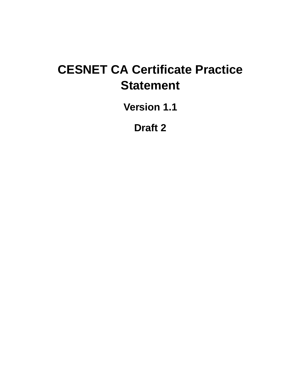# **CESNET CA Certificate Practice Statement**

**Version 1.1**

**Draft 2**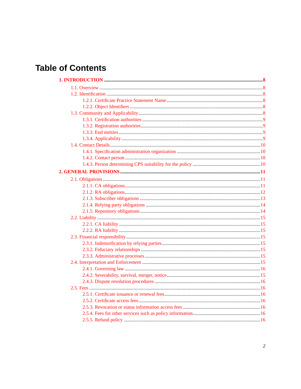# **Table of Contents**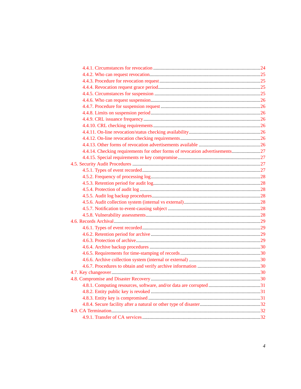| 4.4.14. Checking requirements for other forms of revocation advertisements27 |  |
|------------------------------------------------------------------------------|--|
|                                                                              |  |
|                                                                              |  |
|                                                                              |  |
|                                                                              |  |
|                                                                              |  |
|                                                                              |  |
|                                                                              |  |
|                                                                              |  |
|                                                                              |  |
|                                                                              |  |
|                                                                              |  |
|                                                                              |  |
|                                                                              |  |
|                                                                              |  |
|                                                                              |  |
|                                                                              |  |
|                                                                              |  |
|                                                                              |  |
|                                                                              |  |
|                                                                              |  |
|                                                                              |  |
|                                                                              |  |
|                                                                              |  |
|                                                                              |  |
|                                                                              |  |
|                                                                              |  |
|                                                                              |  |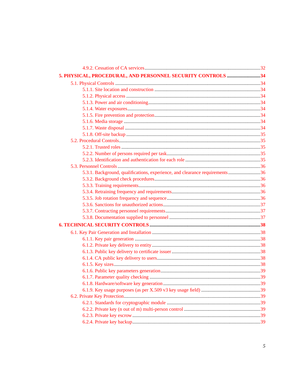| 5. PHYSICAL, PROCEDURAL, AND PERSONNEL SECURITY CONTROLS 34                 |  |
|-----------------------------------------------------------------------------|--|
|                                                                             |  |
|                                                                             |  |
|                                                                             |  |
|                                                                             |  |
|                                                                             |  |
|                                                                             |  |
|                                                                             |  |
|                                                                             |  |
|                                                                             |  |
|                                                                             |  |
|                                                                             |  |
|                                                                             |  |
|                                                                             |  |
|                                                                             |  |
| 5.3.1. Background, qualifications, experience, and clearance requirements36 |  |
|                                                                             |  |
|                                                                             |  |
|                                                                             |  |
|                                                                             |  |
|                                                                             |  |
|                                                                             |  |
|                                                                             |  |
|                                                                             |  |
|                                                                             |  |
|                                                                             |  |
|                                                                             |  |
|                                                                             |  |
|                                                                             |  |
|                                                                             |  |
|                                                                             |  |
|                                                                             |  |
|                                                                             |  |
|                                                                             |  |
|                                                                             |  |
|                                                                             |  |
|                                                                             |  |
|                                                                             |  |
|                                                                             |  |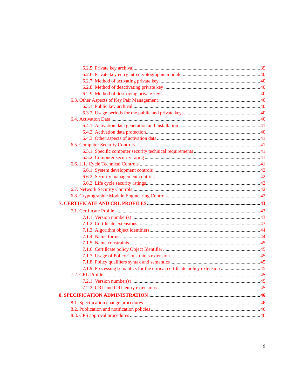| 7.1.9. Processing semantics for the critical certificate policy extension 45 |  |
|------------------------------------------------------------------------------|--|
|                                                                              |  |
|                                                                              |  |
|                                                                              |  |
|                                                                              |  |
|                                                                              |  |
|                                                                              |  |
|                                                                              |  |
|                                                                              |  |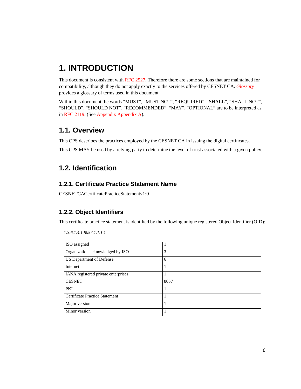# <span id="page-7-0"></span>**1. INTRODUCTION**

This document is consistent with [RFC 2527](#page-49-1). Therefore there are some sections that are maintained for compatibility, although they do not apply exactly to the services offered by CESNET CA. *[Glossary](#page-46-0)* provides a glossary of terms used in this document.

Within this document the words "MUST", "MUST NOT", "REQUIRED", "SHALL", "SHALL NOT", "SHOULD", "SHOULD NOT", "RECOMMENDED", "MAY", "OPTIONAL" are to be interpreted as in [RFC 2119](#page-49-2). (See [Appendix Appendix A\)](#page-48-0).

# <span id="page-7-1"></span>**1.1. Overview**

This CPS describes the practices employed by the CESNET CA in issuing the digital certificates.

This CPS MAY be used by a relying party to determine the level of trust associated with a given policy.

# <span id="page-7-2"></span>**1.2. Identification**

### <span id="page-7-3"></span>**1.2.1. Certificate Practice Statement Name**

CESNETCACertificatePracticeStatementv1:0

# <span id="page-7-4"></span>**1.2.2. Object Identifiers**

This certificate practice statement is identified by the following unique registered Object Identifier (OID):

<span id="page-7-5"></span>

| ISO assigned                        | 1    |
|-------------------------------------|------|
| Organization acknowledged by ISO    | 3    |
| US Department of Defense            | 6    |
| Internet                            | 1    |
| IANA registered private enterprises | 1    |
| <b>CESNET</b>                       | 8057 |
| PKI                                 | 1    |
| Certificate Practice Statement      | 1    |
| Major version                       | 1    |
| Minor version                       | 1    |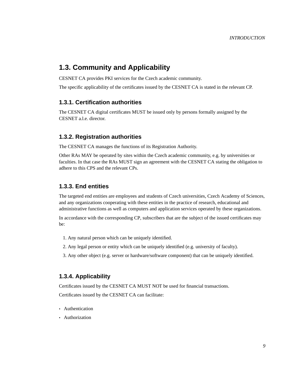# **1.3. Community and Applicability**

CESNET CA provides PKI services for the Czech academic community.

The specific applicability of the certificates issued by the CESNET CA is stated in the relevant CP.

#### <span id="page-8-0"></span>**1.3.1. Certification authorities**

The CESNET CA digital certificates MUST be issued only by persons formally assigned by the CESNET a.l.e. director.

#### <span id="page-8-1"></span>**1.3.2. Registration authorities**

The CESNET CA manages the functions of its Registration Authority.

Other RAs MAY be operated by sites within the Czech academic community, e.g. by universities or faculties. In that case the RAs MUST sign an agreement with the CESNET CA stating the obligation to adhere to this CPS and the relevant CPs.

#### <span id="page-8-2"></span>**1.3.3. End entities**

The targeted end entities are employees and students of Czech universities, Czech Academy of Sciences, and any organizations cooperating with these entities in the practice of research, educational and administrative functions as well as computers and application services operated by these organizations.

In accordance with the corresponding CP, subscribers that are the subject of the issued certificates may be:

- 1. Any natural person which can be uniquely identified.
- 2. Any legal person or entity which can be uniquely identified (e.g. university of faculty).
- 3. Any other object (e.g. server or hardware/software component) that can be uniquely identified.

#### <span id="page-8-3"></span>**1.3.4. Applicability**

Certificates issued by the CESNET CA MUST NOT be used for financial transactions.

Certificates issued by the CESNET CA can facilitate:

- Authentication
- Authorization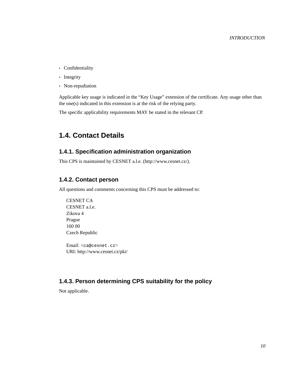- Confidentiality
- Integrity
- Non-repudiation

Applicable key usage is indicated in the "Key Usage" extension of the certificate. Any usage other than the one(s) indicated in this extension is at the risk of the relying party.

The specific applicability requirements MAY be stated in the relevant CP.

# <span id="page-9-0"></span>**1.4. Contact Details**

### <span id="page-9-1"></span>**1.4.1. Specification administration organization**

This CPS is maintained by CESNET a.l.e. (http://www.cesnet.cz/).

### <span id="page-9-2"></span>**1.4.2. Contact person**

All questions and comments concerning this CPS must be addressed to:

CESNET CA CESNET a.l.e. Zikova 4 Prague 160 00 Czech Republic

Email: <ca@cesnet.cz> URI: http://www.cesnet.cz/pki/

# <span id="page-9-3"></span>**1.4.3. Person determining CPS suitability for the policy**

Not applicable.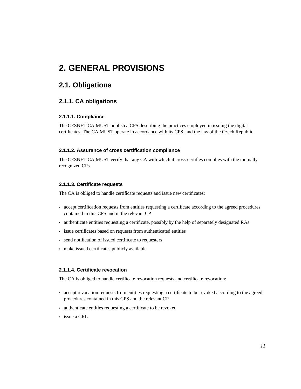# <span id="page-10-0"></span>**2. GENERAL PROVISIONS**

# <span id="page-10-1"></span>**2.1. Obligations**

# <span id="page-10-2"></span>**2.1.1. CA obligations**

#### **2.1.1.1. Compliance**

The CESNET CA MUST publish a CPS describing the practices employed in issuing the digital certificates. The CA MUST operate in accordance with its CPS, and the law of the Czech Republic.

#### **2.1.1.2. Assurance of cross certification compliance**

The CESNET CA MUST verify that any CA with which it cross-certifies complies with the mutually recognized CPs.

#### **2.1.1.3. Certificate requests**

The CA is obliged to handle certificate requests and issue new certificates:

- accept certification requests from entities requesting a certificate according to the agreed procedures contained in this CPS and in the relevant CP
- authenticate entities requesting a certificate, possibly by the help of separately designated RAs
- issue certificates based on requests from authenticated entities
- send notification of issued certificate to requesters
- make issued certificates publicly available

#### **2.1.1.4. Certificate revocation**

The CA is obliged to handle certificate revocation requests and certificate revocation:

- accept revocation requests from entities requesting a certificate to be revoked according to the agreed procedures contained in this CPS and the relevant CP
- authenticate entities requesting a certificate to be revoked
- issue a CRL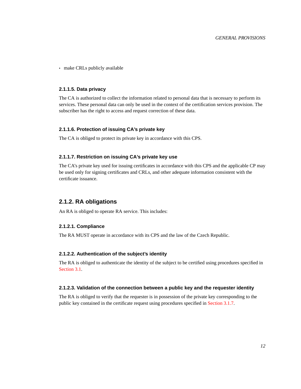• make CRLs publicly available

#### **2.1.1.5. Data privacy**

The CA is authorized to collect the information related to personal data that is necessary to perform its services. These personal data can only be used in the context of the certification services provision. The subscriber has the right to access and request correction of these data.

#### **2.1.1.6. Protection of issuing CA's private key**

The CA is obliged to protect its private key in accordance with this CPS.

#### **2.1.1.7. Restriction on issuing CA's private key use**

The CA's private key used for issuing certificates in accordance with this CPS and the applicable CP may be used only for signing certificates and CRLs, and other adequate information consistent with the certificate issuance.

#### <span id="page-11-0"></span>**2.1.2. RA obligations**

An RA is obliged to operate RA service. This includes:

#### **2.1.2.1. Compliance**

The RA MUST operate in accordance with its CPS and the law of the Czech Republic.

#### **2.1.2.2. Authentication of the subject's identity**

The RA is obliged to authenticate the identity of the subject to be certified using procedures specified in [Section 3.1](#page-19-1).

#### **2.1.2.3. Validation of the connection between a public key and the requester identity**

The RA is obliged to verify that the requester is in possession of the private key corresponding to the public key contained in the certificate request using procedures specified in [Section 3.1.7](#page-20-5).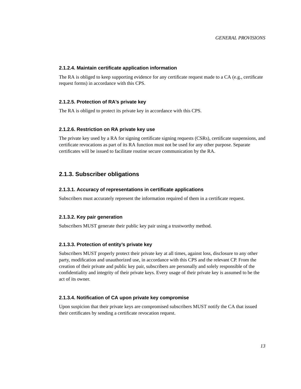#### **2.1.2.4. Maintain certificate application information**

The RA is obliged to keep supporting evidence for any certificate request made to a CA (e.g., certificate request forms) in accordance with this CPS.

#### **2.1.2.5. Protection of RA's private key**

The RA is obliged to protect its private key in accordance with this CPS.

#### **2.1.2.6. Restriction on RA private key use**

The private key used by a RA for signing certificate signing requests (CSRs), certificate suspensions, and certificate revocations as part of its RA function must not be used for any other purpose. Separate certificates will be issued to facilitate routine secure communication by the RA.

#### <span id="page-12-0"></span>**2.1.3. Subscriber obligations**

#### **2.1.3.1. Accuracy of representations in certificate applications**

Subscribers must accurately represent the information required of them in a certificate request.

#### **2.1.3.2. Key pair generation**

Subscribers MUST generate their public key pair using a trustworthy method.

#### **2.1.3.3. Protection of entity's private key**

Subscribers MUST properly protect their private key at all times, against loss, disclosure to any other party, modification and unauthorized use, in accordance with this CPS and the relevant CP. From the creation of their private and public key pair, subscribers are personally and solely responsible of the confidentiality and integrity of their private keys. Every usage of their private key is assumed to be the act of its owner.

#### **2.1.3.4. Notification of CA upon private key compromise**

Upon suspicion that their private keys are compromised subscribers MUST notify the CA that issued their certificates by sending a certificate revocation request.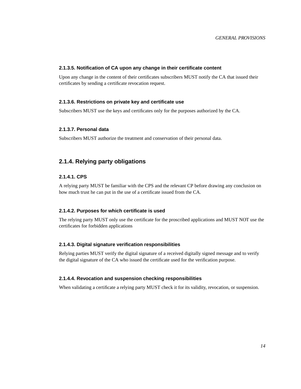#### **2.1.3.5. Notification of CA upon any change in their certificate content**

Upon any change in the content of their certificates subscribers MUST notify the CA that issued their certificates by sending a certificate revocation request.

#### **2.1.3.6. Restrictions on private key and certificate use**

Subscribers MUST use the keys and certificates only for the purposes authorized by the CA.

#### **2.1.3.7. Personal data**

Subscribers MUST authorize the treatment and conservation of their personal data.

### <span id="page-13-0"></span>**2.1.4. Relying party obligations**

#### **2.1.4.1. CPS**

A relying party MUST be familiar with the CPS and the relevant CP before drawing any conclusion on how much trust he can put in the use of a certificate issued from the CA.

#### **2.1.4.2. Purposes for which certificate is used**

The relying party MUST only use the certificate for the proscribed applications and MUST NOT use the certificates for forbidden applications

#### **2.1.4.3. Digital signature verification responsibilities**

Relying parties MUST verify the digital signature of a received digitally signed message and to verify the digital signature of the CA who issued the certificate used for the verification purpose.

#### **2.1.4.4. Revocation and suspension checking responsibilities**

<span id="page-13-1"></span>When validating a certificate a relying party MUST check it for its validity, revocation, or suspension.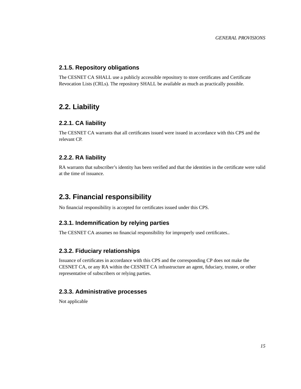## <span id="page-14-8"></span>**2.1.5. Repository obligations**

The CESNET CA SHALL use a publicly accessible repository to store certificates and Certificate Revocation Lists (CRLs). The repository SHALL be available as much as practically possible.

# <span id="page-14-0"></span>**2.2. Liability**

#### <span id="page-14-1"></span>**2.2.1. CA liability**

The CESNET CA warrants that all certificates issued were issued in accordance with this CPS and the relevant CP.

#### <span id="page-14-2"></span>**2.2.2. RA liability**

RA warrants that subscriber's identity has been verified and that the identities in the certificate were valid at the time of issuance.

# <span id="page-14-3"></span>**2.3. Financial responsibility**

No financial responsibility is accepted for certificates issued under this CPS.

### <span id="page-14-4"></span>**2.3.1. Indemnification by relying parties**

The CESNET CA assumes no financial responsibility for improperly used certificates..

#### <span id="page-14-5"></span>**2.3.2. Fiduciary relationships**

Issuance of certificates in accordance with this CPS and the corresponding CP does not make the CESNET CA, or any RA within the CESNET CA infrastructure an agent, fiduciary, trustee, or other representative of subscribers or relying parties.

#### <span id="page-14-6"></span>**2.3.3. Administrative processes**

<span id="page-14-7"></span>Not applicable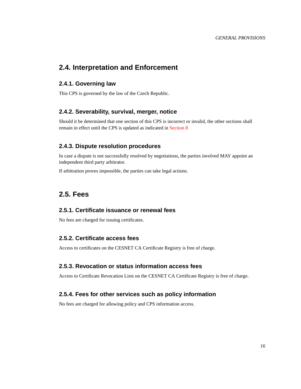# **2.4. Interpretation and Enforcement**

### <span id="page-15-0"></span>**2.4.1. Governing law**

This CPS is governed by the law of the Czech Republic.

#### **2.4.2. Severability, survival, merger, notice**

Should it be determined that one section of this CPS is incorrect or invalid, the other sections shall remain in effect until the CPS is updated as indicated in [Section 8](#page-45-0)

### <span id="page-15-1"></span>**2.4.3. Dispute resolution procedures**

In case a dispute is not successfully resolved by negotiations, the parties involved MAY appoint an independent third party arbitrator.

If arbitration proves impossible, the parties can take legal actions.

# <span id="page-15-2"></span>**2.5. Fees**

# <span id="page-15-3"></span>**2.5.1. Certificate issuance or renewal fees**

No fees are charged for issuing certificates.

### <span id="page-15-4"></span>**2.5.2. Certificate access fees**

Access to certificates on the CESNET CA Certificate Registry is free of charge.

#### <span id="page-15-5"></span>**2.5.3. Revocation or status information access fees**

Access to Certificate Revocation Lists on the CESNET CA Certificate Registry is free of charge.

### <span id="page-15-6"></span>**2.5.4. Fees for other services such as policy information**

<span id="page-15-7"></span>No fees are charged for allowing policy and CPS information access.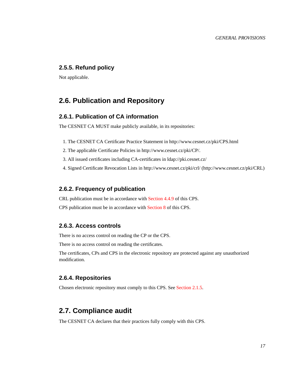#### **2.5.5. Refund policy**

Not applicable.

# <span id="page-16-0"></span>**2.6. Publication and Repository**

#### <span id="page-16-1"></span>**2.6.1. Publication of CA information**

The CESNET CA MUST make publicly available, in its repositories:

- 1. The CESNET CA Certificate Practice Statement in http://www.cesnet.cz/pki/CPS.html
- 2. The applicable Certificate Policies in http://www.cesnet.cz/pki/CP/.
- 3. All issued certificates including CA-certificates in ldap://pki.cesnet.cz/
- 4. Signed Certificate Revocation Lists in http://www.cesnet.cz/pki/crl/ (http://www.cesnet.cz/pki/CRL)

#### <span id="page-16-2"></span>**2.6.2. Frequency of publication**

CRL publication must be in accordance with [Section 4.4.9](#page-25-3) of this CPS.

CPS publication must be in accordance with [Section 8](#page-45-0) of this CPS.

#### <span id="page-16-3"></span>**2.6.3. Access controls**

There is no access control on reading the CP or the CPS.

There is no access control on reading the certificates.

The certificates, CPs and CPS in the electronic repository are protected against any unauthorized modification.

### <span id="page-16-4"></span>**2.6.4. Repositories**

Chosen electronic repository must comply to this CPS. See [Section 2.1.5.](#page-13-1)

# <span id="page-16-5"></span>**2.7. Compliance audit**

The CESNET CA declares that their practices fully comply with this CPS.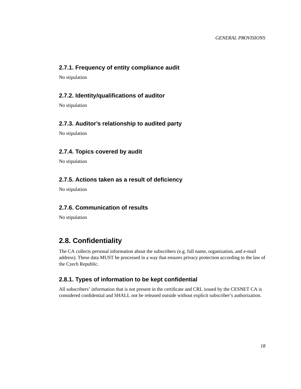# <span id="page-17-0"></span>**2.7.1. Frequency of entity compliance audit**

No stipulation

### <span id="page-17-1"></span>**2.7.2. Identity/qualifications of auditor**

No stipulation

### <span id="page-17-2"></span>**2.7.3. Auditor's relationship to audited party**

No stipulation

### <span id="page-17-3"></span>**2.7.4. Topics covered by audit**

No stipulation

## <span id="page-17-4"></span>**2.7.5. Actions taken as a result of deficiency**

No stipulation

### <span id="page-17-5"></span>**2.7.6. Communication of results**

No stipulation

# <span id="page-17-6"></span>**2.8. Confidentiality**

The CA collects personal information about the subscribers (e.g. full name, organization, and e-mail address). These data MUST be processed in a way that ensures privacy protection according to the law of the Czech Republic.

# <span id="page-17-7"></span>**2.8.1. Types of information to be kept confidential**

<span id="page-17-8"></span>All subscribers' information that is not present in the certificate and CRL issued by the CESNET CA is considered confidential and SHALL not be released outside without explicit subscriber's authorization.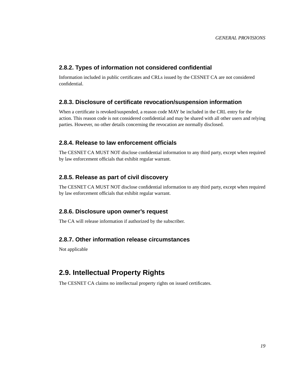### **2.8.2. Types of information not considered confidential**

Information included in public certificates and CRLs issued by the CESNET CA are not considered confidential.

### <span id="page-18-0"></span>**2.8.3. Disclosure of certificate revocation/suspension information**

When a certificate is revoked/suspended, a reason code MAY be included in the CRL entry for the action. This reason code is not considered confidential and may be shared with all other users and relying parties. However, no other details concerning the revocation are normally disclosed.

### <span id="page-18-1"></span>**2.8.4. Release to law enforcement officials**

The CESNET CA MUST NOT disclose confidential information to any third party, except when required by law enforcement officials that exhibit regular warrant.

### <span id="page-18-2"></span>**2.8.5. Release as part of civil discovery**

The CESNET CA MUST NOT disclose confidential information to any third party, except when required by law enforcement officials that exhibit regular warrant.

#### <span id="page-18-3"></span>**2.8.6. Disclosure upon owner's request**

The CA will release information if authorized by the subscriber.

## <span id="page-18-4"></span>**2.8.7. Other information release circumstances**

Not applicable

# <span id="page-18-5"></span>**2.9. Intellectual Property Rights**

The CESNET CA claims no intellectual property rights on issued certificates.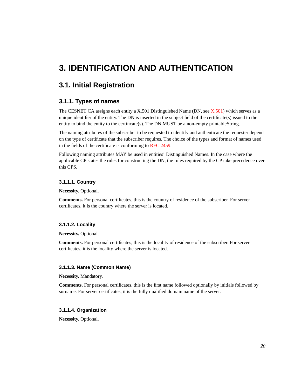# <span id="page-19-0"></span>**3. IDENTIFICATION AND AUTHENTICATION**

# <span id="page-19-1"></span>**3.1. Initial Registration**

### <span id="page-19-2"></span>**3.1.1. Types of names**

The CESNET CA assigns each entity a X.501 Distinguished Name (DN, see  $X.501$ ) which serves as a unique identifier of the entity. The DN is inserted in the subject field of the certificate(s) issued to the entity to bind the entity to the certificate(s). The DN MUST be a non-empty printableString.

The naming attributes of the subscriber to be requested to identify and authenticate the requester depend on the type of certificate that the subscriber requires. The choice of the types and format of names used in the fields of the certificate is conforming to [RFC 2459](#page-49-4).

Following naming attributes MAY be used in entities' Distinguished Names. In the case where the applicable CP states the rules for constructing the DN, the rules required by the CP take precedence over this CPS.

#### **3.1.1.1. Country**

**Necessity.** Optional.

**Comments.** For personal certificates, this is the country of residence of the subscriber. For server certificates, it is the country where the server is located.

#### **3.1.1.2. Locality**

**Necessity.** Optional.

**Comments.** For personal certificates, this is the locality of residence of the subscriber. For server certificates, it is the locality where the server is located.

#### **3.1.1.3. Name (Common Name)**

**Necessity.** Mandatory.

**Comments.** For personal certificates, this is the first name followed optionally by initials followed by surname. For server certificates, it is the fully qualified domain name of the server.

#### **3.1.1.4. Organization**

**Necessity.** Optional.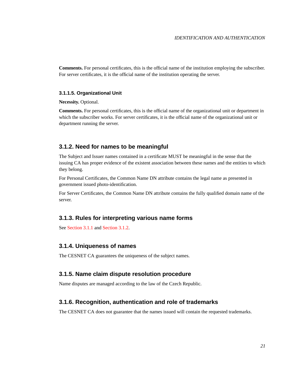**Comments.** For personal certificates, this is the official name of the institution employing the subscriber. For server certificates, it is the official name of the institution operating the server.

#### **3.1.1.5. Organizational Unit**

**Necessity.** Optional.

**Comments.** For personal certificates, this is the official name of the organizational unit or department in which the subscriber works. For server certificates, it is the official name of the organizational unit or department running the server.

#### <span id="page-20-0"></span>**3.1.2. Need for names to be meaningful**

The Subject and Issuer names contained in a certificate MUST be meaningful in the sense that the issuing CA has proper evidence of the existent association between these names and the entities to which they belong.

For Personal Certificates, the Common Name DN attribute contains the legal name as presented in government issued photo-identification.

For Server Certificates, the Common Name DN attribute contains the fully qualified domain name of the server.

#### <span id="page-20-1"></span>**3.1.3. Rules for interpreting various name forms**

See [Section 3.1.1](#page-19-2) and [Section 3.1.2](#page-20-0).

#### <span id="page-20-2"></span>**3.1.4. Uniqueness of names**

The CESNET CA guarantees the uniqueness of the subject names.

#### <span id="page-20-3"></span>**3.1.5. Name claim dispute resolution procedure**

Name disputes are managed according to the law of the Czech Republic.

#### <span id="page-20-4"></span>**3.1.6. Recognition, authentication and role of trademarks**

<span id="page-20-5"></span>The CESNET CA does not guarantee that the names issued will contain the requested trademarks.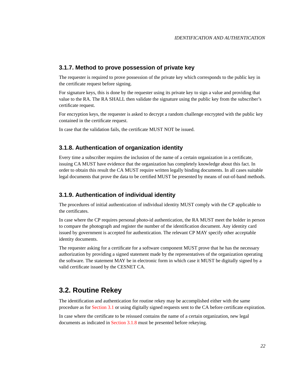#### <span id="page-21-3"></span>**3.1.7. Method to prove possession of private key**

The requester is required to prove possession of the private key which corresponds to the public key in the certificate request before signing.

For signature keys, this is done by the requester using its private key to sign a value and providing that value to the RA. The RA SHALL then validate the signature using the public key from the subscriber's certificate request.

For encryption keys, the requester is asked to decrypt a random challenge encrypted with the public key contained in the certificate request.

In case that the validation fails, the certificate MUST NOT be issued.

#### <span id="page-21-0"></span>**3.1.8. Authentication of organization identity**

Every time a subscriber requires the inclusion of the name of a certain organization in a certificate, issuing CA MUST have evidence that the organization has completely knowledge about this fact. In order to obtain this result the CA MUST require written legally binding documents. In all cases suitable legal documents that prove the data to be certified MUST be presented by means of out-of-band methods.

#### <span id="page-21-1"></span>**3.1.9. Authentication of individual identity**

The procedures of initial authentication of individual identity MUST comply with the CP applicable to the certificates.

In case where the CP requires personal photo-id authentication, the RA MUST meet the holder in person to compare the photograph and register the number of the identification document. Any identity card issued by government is accepted for authentication. The relevant CP MAY specify other acceptable identity documents.

The requester asking for a certificate for a software component MUST prove that he has the necessary authorization by providing a signed statement made by the representatives of the organization operating the software. The statement MAY be in electronic form in which case it MUST be digitally signed by a valid certificate issued by the CESNET CA.

# <span id="page-21-2"></span>**3.2. Routine Rekey**

The identification and authentication for routine rekey may be accomplished either with the same procedure as for [Section 3.1](#page-19-1) or using digitally signed requests sent to the CA before certificate expiration.

In case where the certificate to be reissued contains the name of a certain organization, new legal documents as indicated in [Section 3.1.8](#page-21-0) must be presented before rekeying.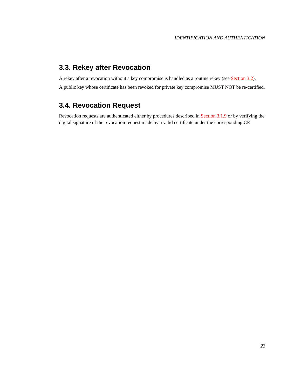# **3.3. Rekey after Revocation**

A rekey after a revocation without a key compromise is handled as a routine rekey (see [Section 3.2\)](#page-21-2).

A public key whose certificate has been revoked for private key compromise MUST NOT be re-certified.

# <span id="page-22-0"></span>**3.4. Revocation Request**

Revocation requests are authenticated either by procedures described in [Section 3.1.9](#page-21-1) or by verifying the digital signature of the revocation request made by a valid certificate under the corresponding CP.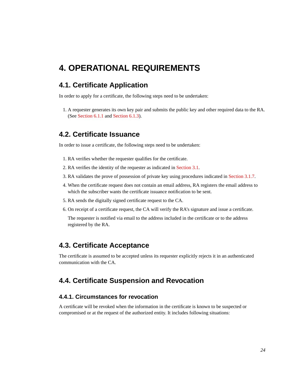# <span id="page-23-0"></span>**4. OPERATIONAL REQUIREMENTS**

# <span id="page-23-1"></span>**4.1. Certificate Application**

In order to apply for a certificate, the following steps need to be undertaken:

1. A requester generates its own key pair and submits the public key and other required data to the RA. (See [Section 6.1.1](#page-37-2) and [Section 6.1.3\)](#page-37-4).

# <span id="page-23-2"></span>**4.2. Certificate Issuance**

In order to issue a certificate, the following steps need to be undertaken:

- 1. RA verifies whether the requester qualifies for the certificate.
- 2. RA verifies the identity of the requester as indicated in [Section 3.1](#page-19-1).
- 3. RA validates the prove of possession of private key using procedures indicated in [Section 3.1.7.](#page-20-5)
- 4. When the certificate request does not contain an email address, RA registers the email address to which the subscriber wants the certificate issuance notification to be sent.
- 5. RA sends the digitally signed certificate request to the CA.
- 6. On receipt of a certificate request, the CA will verify the RA's signature and issue a certificate.

The requester is notified via email to the address included in the certificate or to the address registered by the RA.

# <span id="page-23-3"></span>**4.3. Certificate Acceptance**

The certificate is assumed to be accepted unless its requester explicitly rejects it in an authenticated communication with the CA.

# <span id="page-23-4"></span>**4.4. Certificate Suspension and Revocation**

### <span id="page-23-5"></span>**4.4.1. Circumstances for revocation**

A certificate will be revoked when the information in the certificate is known to be suspected or compromised or at the request of the authorized entity. It includes following situations: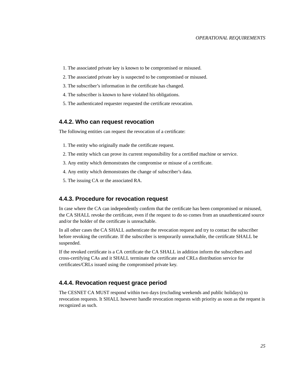#### *OPERATIONAL REQUIREMENTS*

- 1. The associated private key is known to be compromised or misused.
- 2. The associated private key is suspected to be compromised or misused.
- 3. The subscriber's information in the certificate has changed.
- 4. The subscriber is known to have violated his obligations.
- 5. The authenticated requester requested the certificate revocation.

#### <span id="page-24-0"></span>**4.4.2. Who can request revocation**

The following entities can request the revocation of a certificate:

- 1. The entity who originally made the certificate request.
- 2. The entity which can prove its current responsibility for a certified machine or service.
- 3. Any entity which demonstrates the compromise or misuse of a certificate.
- 4. Any entity which demonstrates the change of subscriber's data.
- 5. The issuing CA or the associated RA.

#### <span id="page-24-1"></span>**4.4.3. Procedure for revocation request**

In case where the CA can independently confirm that the certificate has been compromised or misused, the CA SHALL revoke the certificate, even if the request to do so comes from an unauthenticated source and/or the holder of the certificate is unreachable.

In all other cases the CA SHALL authenticate the revocation request and try to contact the subscriber before revoking the certificate. If the subscriber is temporarily unreachable, the certificate SHALL be suspended.

If the revoked certificate is a CA certificate the CA SHALL in addition inform the subscribers and cross-certifying CAs and it SHALL terminate the certificate and CRLs distribution service for certificates/CRLs issued using the compromised private key.

#### <span id="page-24-2"></span>**4.4.4. Revocation request grace period**

<span id="page-24-3"></span>The CESNET CA MUST respond within two days (excluding weekends and public holidays) to revocation requests. It SHALL however handle revocation requests with priority as soon as the request is recognized as such.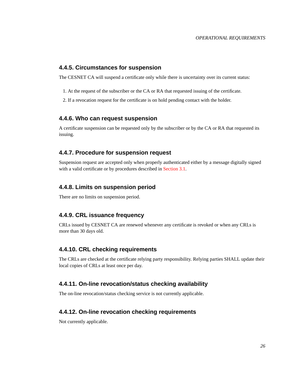#### <span id="page-25-7"></span>**4.4.5. Circumstances for suspension**

The CESNET CA will suspend a certificate only while there is uncertainty over its current status:

- 1. At the request of the subscriber or the CA or RA that requested issuing of the certificate.
- 2. If a revocation request for the certificate is on hold pending contact with the holder.

#### <span id="page-25-0"></span>**4.4.6. Who can request suspension**

A certificate suspension can be requested only by the subscriber or by the CA or RA that requested its issuing.

#### <span id="page-25-1"></span>**4.4.7. Procedure for suspension request**

Suspension request are accepted only when properly authenticated either by a message digitally signed with a valid certificate or by procedures described in [Section 3.1.](#page-19-1)

#### <span id="page-25-2"></span>**4.4.8. Limits on suspension period**

There are no limits on suspension period.

#### <span id="page-25-3"></span>**4.4.9. CRL issuance frequency**

CRLs issued by CESNET CA are renewed whenever any certificate is revoked or when any CRLs is more than 30 days old.

#### <span id="page-25-4"></span>**4.4.10. CRL checking requirements**

The CRLs are checked at the certificate relying party responsibility. Relying parties SHALL update their local copies of CRLs at least once per day.

#### <span id="page-25-5"></span>**4.4.11. On-line revocation/status checking availability**

The on-line revocation/status checking service is not currently applicable.

#### <span id="page-25-6"></span>**4.4.12. On-line revocation checking requirements**

Not currently applicable.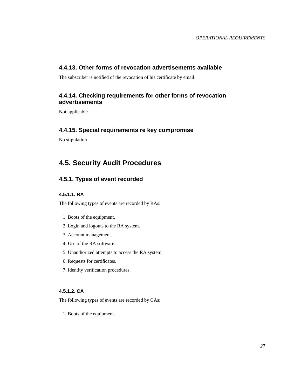### **4.4.13. Other forms of revocation advertisements available**

The subscriber is notified of the revocation of his certificate by email.

## <span id="page-26-0"></span>**4.4.14. Checking requirements for other forms of revocation advertisements**

Not applicable

#### <span id="page-26-1"></span>**4.4.15. Special requirements re key compromise**

No stipulation

# <span id="page-26-2"></span>**4.5. Security Audit Procedures**

# <span id="page-26-3"></span>**4.5.1. Types of event recorded**

#### **4.5.1.1. RA**

The following types of events are recorded by RAs:

- 1. Boots of the equipment.
- 2. Login and logouts to the RA system.
- 3. Account management.
- 4. Use of the RA software.
- 5. Unauthorized attempts to access the RA system.
- 6. Requests for certificates.
- 7. Identity verification procedures.

### **4.5.1.2. CA**

The following types of events are recorded by CAs:

1. Boots of the equipment.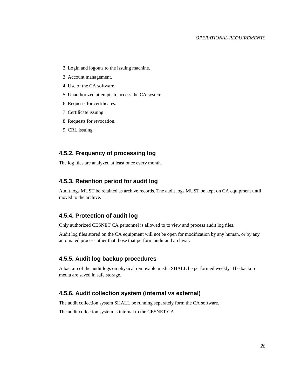- <span id="page-27-6"></span>2. Login and logouts to the issuing machine.
- 3. Account management.
- 4. Use of the CA software.
- 5. Unauthorized attempts to access the CA system.
- 6. Requests for certificates.
- 7. Certificate issuing.
- 8. Requests for revocation.
- 9. CRL issuing.

#### <span id="page-27-0"></span>**4.5.2. Frequency of processing log**

The log files are analyzed at least once every month.

#### <span id="page-27-1"></span>**4.5.3. Retention period for audit log**

Audit logs MUST be retained as archive records. The audit logs MUST be kept on CA equipment until moved to the archive.

#### <span id="page-27-2"></span>**4.5.4. Protection of audit log**

Only authorized CESNET CA personnel is allowed to to view and process audit log files.

Audit log files stored on the CA equipment will not be open for modification by any human, or by any automated process other that those that perform audit and archival.

#### <span id="page-27-3"></span>**4.5.5. Audit log backup procedures**

A backup of the audit logs on physical removable media SHALL be performed weekly. The backup media are saved in safe storage.

#### <span id="page-27-4"></span>**4.5.6. Audit collection system (internal vs external)**

The audit collection system SHALL be running separately form the CA software.

<span id="page-27-5"></span>The audit collection system is internal to the CESNET CA.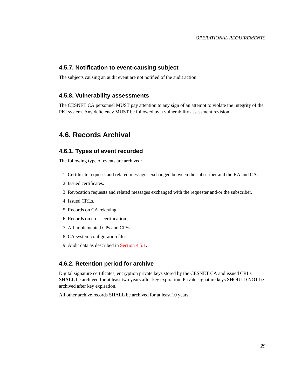#### **4.5.7. Notification to event-causing subject**

The subjects causing an audit event are not notified of the audit action.

#### **4.5.8. Vulnerability assessments**

The CESNET CA personnel MUST pay attention to any sign of an attempt to violate the integrity of the PKI system. Any deficiency MUST be followed by a vulnerability assessment revision.

# <span id="page-28-0"></span>**4.6. Records Archival**

#### <span id="page-28-1"></span>**4.6.1. Types of event recorded**

The following type of events are archived:

- 1. Certificate requests and related messages exchanged between the subscriber and the RA and CA.
- 2. Issued certificates.
- 3. Revocation requests and related messages exchanged with the requester and/or the subscriber.
- 4. Issued CRLs.
- 5. Records on CA rekeying.
- 6. Records on cross certification.
- 7. All implemented CPs and CPSs.
- 8. CA system configuration files.
- 9. Audit data as described in [Section 4.5.1.](#page-26-3)

#### <span id="page-28-2"></span>**4.6.2. Retention period for archive**

Digital signature certificates, encryption private keys stored by the CESNET CA and issued CRLs SHALL be archived for at least two years after key expiration. Private signature keys SHOULD NOT be archived after key expiration.

<span id="page-28-3"></span>All other archive records SHALL be archived for at least 10 years.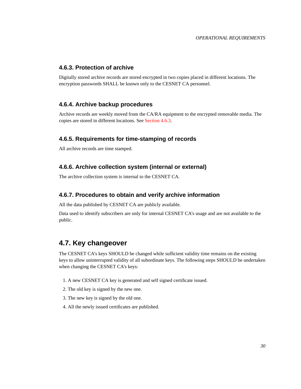## **4.6.3. Protection of archive**

Digitally stored archive records are stored encrypted in two copies placed in different locations. The encryption passwords SHALL be known only to the CESNET CA personnel.

### <span id="page-29-0"></span>**4.6.4. Archive backup procedures**

Archive records are weekly moved from the CA/RA equipment to the encrypted removable media. The copies are stored in different locations. See [Section 4.6.3.](#page-28-3)

### <span id="page-29-1"></span>**4.6.5. Requirements for time-stamping of records**

All archive records are time stamped.

#### <span id="page-29-2"></span>**4.6.6. Archive collection system (internal or external)**

The archive collection system is internal to the CESNET CA.

#### <span id="page-29-3"></span>**4.6.7. Procedures to obtain and verify archive information**

All the data published by CESNET CA are publicly available.

Data used to identify subscribers are only for internal CESNET CA's usage and are not available to the public.

# <span id="page-29-4"></span>**4.7. Key changeover**

The CESNET CA's keys SHOULD be changed while sufficient validity time remains on the existing keys to allow uninterrupted validity of all subordinate keys. The following steps SHOULD be undertaken when changing the CESNET CA's keys:

- 1. A new CESNET CA key is generated and self signed certificate issued.
- 2. The old key is signed by the new one.
- 3. The new key is signed by the old one.
- <span id="page-29-5"></span>4. All the newly issued certificates are published.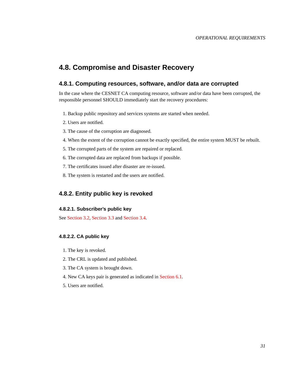# **4.8. Compromise and Disaster Recovery**

### <span id="page-30-0"></span>**4.8.1. Computing resources, software, and/or data are corrupted**

In the case where the CESNET CA computing resource, software and/or data have been corrupted, the responsible personnel SHOULD immediately start the recovery procedures:

- 1. Backup public repository and services systems are started when needed.
- 2. Users are notified.
- 3. The cause of the corruption are diagnosed.
- 4. When the extent of the corruption cannot be exactly specified, the entire system MUST be rebuilt.
- 5. The corrupted parts of the system are repaired or replaced.
- 6. The corrupted data are replaced from backups if possible.
- 7. The certificates issued after disaster are re-issued.
- 8. The system is restarted and the users are notified.

## <span id="page-30-1"></span>**4.8.2. Entity public key is revoked**

#### **4.8.2.1. Subscriber's public key**

See [Section 3.2](#page-21-2), [Section 3.3](#page-21-3) and [Section 3.4](#page-22-0).

#### **4.8.2.2. CA public key**

- 1. The key is revoked.
- 2. The CRL is updated and published.
- 3. The CA system is brought down.
- 4. New CA keys pair is generated as indicated in [Section 6.1.](#page-37-1)
- <span id="page-30-2"></span>5. Users are notified.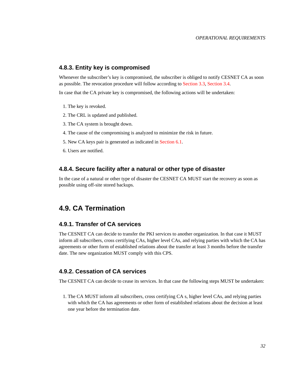#### **4.8.3. Entity key is compromised**

Whenever the subscriber's key is compromised, the subscriber is obliged to notify CESNET CA as soon as possible. The revocation procedure will follow according to [Section 3.3](#page-21-3), [Section 3.4](#page-22-0).

In case that the CA private key is compromised, the following actions will be undertaken:

- 1. The key is revoked.
- 2. The CRL is updated and published.
- 3. The CA system is brought down.
- 4. The cause of the compromising is analyzed to minimize the risk in future.
- 5. New CA keys pair is generated as indicated in [Section 6.1.](#page-37-1)
- 6. Users are notified.

#### <span id="page-31-0"></span>**4.8.4. Secure facility after a natural or other type of disaster**

In the case of a natural or other type of disaster the CESNET CA MUST start the recovery as soon as possible using off-site stored backups.

# <span id="page-31-1"></span>**4.9. CA Termination**

#### <span id="page-31-2"></span>**4.9.1. Transfer of CA services**

The CESNET CA can decide to transfer the PKI services to another organization. In that case it MUST inform all subscribers, cross certifying CAs, higher level CAs, and relying parties with which the CA has agreements or other form of established relations about the transfer at least 3 months before the transfer date. The new organization MUST comply with this CPS.

### <span id="page-31-3"></span>**4.9.2. Cessation of CA services**

The CESNET CA can decide to cease its services. In that case the following steps MUST be undertaken:

1. The CA MUST inform all subscribers, cross certifying CA s, higher level CAs, and relying parties with which the CA has agreements or other form of established relations about the decision at least one year before the termination date.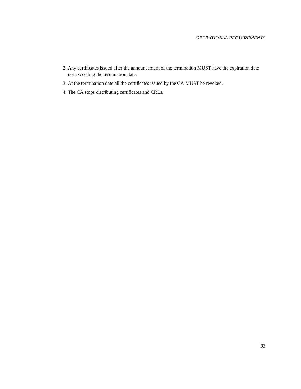- 2. Any certificates issued after the announcement of the termination MUST have the expiration date not exceeding the termination date.
- 3. At the termination date all the certificates issued by the CA MUST be revoked.
- 4. The CA stops distributing certificates and CRLs.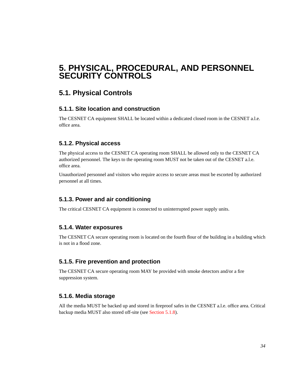# <span id="page-33-0"></span>**5. PHYSICAL, PROCEDURAL, AND PERSONNEL SECURITY CONTROLS**

# <span id="page-33-1"></span>**5.1. Physical Controls**

# <span id="page-33-2"></span>**5.1.1. Site location and construction**

The CESNET CA equipment SHALL be located within a dedicated closed room in the CESNET a.l.e. office area.

# <span id="page-33-3"></span>**5.1.2. Physical access**

The physical access to the CESNET CA operating room SHALL be allowed only to the CESNET CA authorized personnel. The keys to the operating room MUST not be taken out of the CESNET a.l.e. office area.

Unauthorized personnel and visitors who require access to secure areas must be escorted by authorized personnel at all times.

# <span id="page-33-4"></span>**5.1.3. Power and air conditioning**

The critical CESNET CA equipment is connected to uninterrupted power supply units.

### <span id="page-33-5"></span>**5.1.4. Water exposures**

The CESNET CA secure operating room is located on the fourth flour of the building in a building which is not in a flood zone.

### <span id="page-33-6"></span>**5.1.5. Fire prevention and protection**

The CESNET CA secure operating room MAY be provided with smoke detectors and/or a fire suppression system.

# <span id="page-33-7"></span>**5.1.6. Media storage**

<span id="page-33-8"></span>All the media MUST be backed up and stored in fireproof safes in the CESNET a.l.e. office area. Critical backup media MUST also stored off-site (see [Section 5.1.8](#page-34-0)).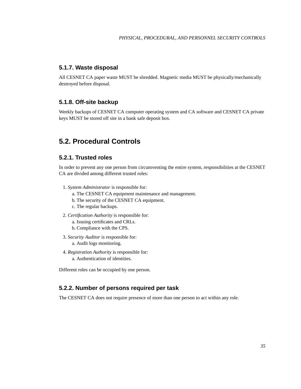### **5.1.7. Waste disposal**

All CESNET CA paper waste MUST be shredded. Magnetic media MUST be physically/mechanically destroyed before disposal.

### <span id="page-34-0"></span>**5.1.8. Off-site backup**

Weekly backups of CESNET CA computer operating system and CA software and CESNET CA private keys MUST be stored off site in a bank safe deposit box.

# <span id="page-34-1"></span>**5.2. Procedural Controls**

### <span id="page-34-2"></span>**5.2.1. Trusted roles**

In order to prevent any one person from circumventing the entire system, responsibilities at the CESNET CA are divided among different trusted roles:

- 1. *System Administrator* is responsible for:
	- a. The CESNET CA equipment maintenance and management.
	- b. The security of the CESNET CA equipment.
	- c. The regular backups.
- 2. *Certification Authority* is responsible for:
	- a. Issuing certificates and CRLs.
	- b. Compliance with the CPS.
- 3. *Security Auditor* is responsible for: a. Audit logs monitoring.
- 4. *Registration Authority* is responsible for: a. Authentication of identities.

Different roles can be occupied by one person.

### <span id="page-34-3"></span>**5.2.2. Number of persons required per task**

<span id="page-34-4"></span>The CESNET CA does not require presence of more than one person to act within any role.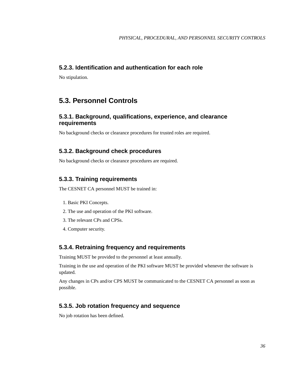# **5.2.3. Identification and authentication for each role**

No stipulation.

# <span id="page-35-0"></span>**5.3. Personnel Controls**

### <span id="page-35-1"></span>**5.3.1. Background, qualifications, experience, and clearance requirements**

No background checks or clearance procedures for trusted roles are required.

## <span id="page-35-2"></span>**5.3.2. Background check procedures**

No background checks or clearance procedures are required.

### <span id="page-35-3"></span>**5.3.3. Training requirements**

The CESNET CA personnel MUST be trained in:

- 1. Basic PKI Concepts.
- 2. The use and operation of the PKI software.
- 3. The relevant CPs and CPSs.
- 4. Computer security.

#### <span id="page-35-4"></span>**5.3.4. Retraining frequency and requirements**

Training MUST be provided to the personnel at least annually.

Training in the use and operation of the PKI software MUST be provided whenever the software is updated.

Any changes in CPs and/or CPS MUST be communicated to the CESNET CA personnel as soon as possible.

### <span id="page-35-5"></span>**5.3.5. Job rotation frequency and sequence**

No job rotation has been defined.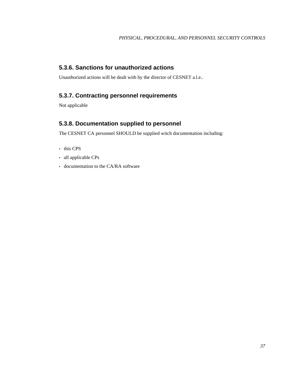# <span id="page-36-0"></span>**5.3.6. Sanctions for unauthorized actions**

Unauthorized actions will be dealt with by the director of CESNET a.l.e..

# <span id="page-36-1"></span>**5.3.7. Contracting personnel requirements**

Not applicable

# <span id="page-36-2"></span>**5.3.8. Documentation supplied to personnel**

The CESNET CA personnel SHOULD be supplied witch documentation including:

- this CPS
- all applicable CPs
- documentation to the CA/RA software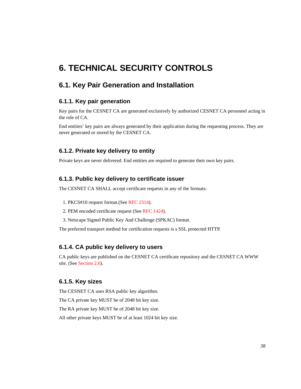# <span id="page-37-0"></span>**6. TECHNICAL SECURITY CONTROLS**

# <span id="page-37-1"></span>**6.1. Key Pair Generation and Installation**

### <span id="page-37-2"></span>**6.1.1. Key pair generation**

Key pairs for the CESNET CA are generated exclusively by authorized CESNET CA personnel acting in the role of CA.

End entities' key pairs are always generated by their application during the requesting process. They are never generated or stored by the CESNET CA.

## <span id="page-37-3"></span>**6.1.2. Private key delivery to entity**

Private keys are never delivered. End entities are required to generate their own key pairs.

#### <span id="page-37-4"></span>**6.1.3. Public key delivery to certificate issuer**

The CESNET CA SHALL accept certificate requests in any of the formats:

- 1. PKCS#10 request format.(See [RFC 2314\)](#page-49-5).
- 2. PEM encoded certificate request (See [RFC 1424\)](#page-49-6).
- 3. Netscape Signed Public Key And Challenge (SPKAC) format.

The preferred transport method for certification requests is s SSL protected HTTP.

#### <span id="page-37-5"></span>**6.1.4. CA public key delivery to users**

CA public keys are published on the CESNET CA certificate repository and the CESNET CA WWW site. (See [Section 2.6](#page-16-0)).

#### <span id="page-37-6"></span>**6.1.5. Key sizes**

The CESNET CA uses RSA public key algorithm.

The CA private key MUST be of 2048 bit key size.

The RA private key MUST be of 2048 bit key size.

All other private keys MUST be of at least 1024 bit key size.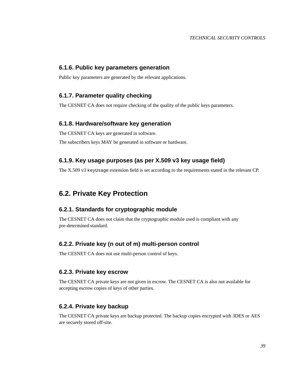#### <span id="page-38-9"></span><span id="page-38-0"></span>**6.1.6. Public key parameters generation**

Public key parameters are generated by the relevant applications.

#### <span id="page-38-1"></span>**6.1.7. Parameter quality checking**

The CESNET CA does not require checking of the quality of the public keys parameters.

#### <span id="page-38-2"></span>**6.1.8. Hardware/software key generation**

The CESNET CA keys are generated in software.

The subscribers keys MAY be generated in software or hardware.

### <span id="page-38-3"></span>**6.1.9. Key usage purposes (as per X.509 v3 key usage field)**

The X.509 v3 keyUsage extension field is set according to the requirements stated in the relevant CP.

# <span id="page-38-4"></span>**6.2. Private Key Protection**

# <span id="page-38-5"></span>**6.2.1. Standards for cryptographic module**

The CESNET CA does not claim that the cryptographic module used is compliant with any pre-determined standard.

#### <span id="page-38-6"></span>**6.2.2. Private key (n out of m) multi-person control**

The CESNET CA does not use multi-person control of keys.

#### <span id="page-38-7"></span>**6.2.3. Private key escrow**

The CESNET CA private keys are not given in escrow. The CESNET CA is also not available for accepting escrow copies of keys of other parties.

#### <span id="page-38-8"></span>**6.2.4. Private key backup**

The CESNET CA private keys are backup protected. The backup copies encrypted with 3DES or AES are securely stored off-site.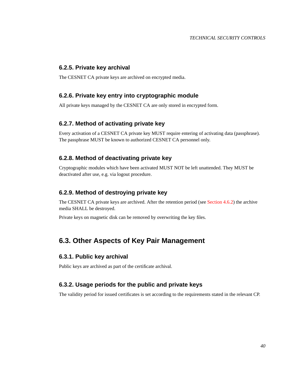#### <span id="page-39-8"></span>**6.2.5. Private key archival**

The CESNET CA private keys are archived on encrypted media.

### <span id="page-39-0"></span>**6.2.6. Private key entry into cryptographic module**

All private keys managed by the CESNET CA are only stored in encrypted form.

### <span id="page-39-1"></span>**6.2.7. Method of activating private key**

Every activation of a CESNET CA private key MUST require entering of activating data (passphrase). The passphrase MUST be known to authorized CESNET CA personnel only.

### <span id="page-39-2"></span>**6.2.8. Method of deactivating private key**

Cryptographic modules which have been activated MUST NOT be left unattended. They MUST be deactivated after use, e.g. via logout procedure.

#### <span id="page-39-3"></span>**6.2.9. Method of destroying private key**

The CESNET CA private keys are archived. After the retention period (see [Section 4.6.2\)](#page-28-2) the archive media SHALL be destroyed.

Private keys on magnetic disk can be removed by overwriting the key files.

# <span id="page-39-4"></span>**6.3. Other Aspects of Key Pair Management**

### <span id="page-39-5"></span>**6.3.1. Public key archival**

Public keys are archived as part of the certificate archival.

### <span id="page-39-6"></span>**6.3.2. Usage periods for the public and private keys**

<span id="page-39-7"></span>The validity period for issued certificates is set according to the requirements stated in the relevant CP.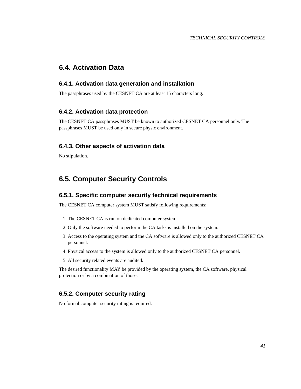# **6.4. Activation Data**

#### <span id="page-40-0"></span>**6.4.1. Activation data generation and installation**

The passphrases used by the CESNET CA are at least 15 characters long.

#### **6.4.2. Activation data protection**

The CESNET CA passphrases MUST be known to authorized CESNET CA personnel only. The passphrases MUST be used only in secure physic environment.

#### <span id="page-40-1"></span>**6.4.3. Other aspects of activation data**

No stipulation.

# <span id="page-40-2"></span>**6.5. Computer Security Controls**

#### <span id="page-40-3"></span>**6.5.1. Specific computer security technical requirements**

The CESNET CA computer system MUST satisfy following requirements:

- 1. The CESNET CA is run on dedicated computer system.
- 2. Only the software needed to perform the CA tasks is installed on the system.
- 3. Access to the operating system and the CA software is allowed only to the authorized CESNET CA personnel.
- 4. Physical access to the system is allowed only to the authorized CESNET CA personnel.
- 5. All security related events are audited.

The desired functionality MAY be provided by the operating system, the CA software, physical protection or by a combination of those.

## <span id="page-40-4"></span>**6.5.2. Computer security rating**

<span id="page-40-5"></span>No formal computer security rating is required.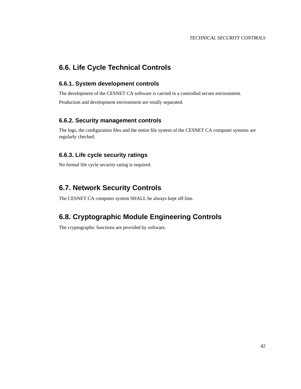# **6.6. Life Cycle Technical Controls**

### <span id="page-41-0"></span>**6.6.1. System development controls**

The development of the CESNET CA software is carried in a controlled secure environment.

Production and development environment are totally separated.

### <span id="page-41-1"></span>**6.6.2. Security management controls**

The logs, the configuration files and the entire file system of the CESNET CA computer systems are regularly checked.

### <span id="page-41-2"></span>**6.6.3. Life cycle security ratings**

No formal life cycle security rating is required.

# <span id="page-41-3"></span>**6.7. Network Security Controls**

The CESNET CA computer system SHALL be always kept off-line.

# <span id="page-41-4"></span>**6.8. Cryptographic Module Engineering Controls**

The cryptographic functions are provided by software.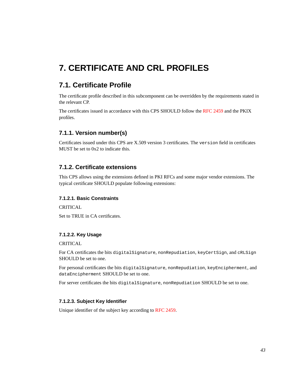# <span id="page-42-0"></span>**7. CERTIFICATE AND CRL PROFILES**

# <span id="page-42-1"></span>**7.1. Certificate Profile**

The certificate profile described in this subcomponent can be overridden by the requirements stated in the relevant CP.

The certificates issued in accordance with this CPS SHOULD follow the [RFC 2459](#page-49-4) and the PKIX profiles.

# <span id="page-42-2"></span>**7.1.1. Version number(s)**

Certificates issued under this CPS are X.509 version 3 certificates. The version field in certificates MUST be set to 0x2 to indicate this.

### <span id="page-42-3"></span>**7.1.2. Certificate extensions**

This CPS allows using the extensions defined in PKI RFCs and some major vendor extensions. The typical certificate SHOULD populate following extensions:

#### **7.1.2.1. Basic Constraints**

**CRITICAL** 

Set to TRUE in CA certificates.

#### **7.1.2.2. Key Usage**

CRITICAL

For CA certificates the bits digitalSignature, nonRepudiation, keyCertSign, and cRLSign SHOULD be set to one.

For personal certificates the bits digitalSignature, nonRepudiation, keyEncipherment, and dataEncipherment SHOULD be set to one.

For server certificates the bits digitalSignature, nonRepudiation SHOULD be set to one.

#### **7.1.2.3. Subject Key Identifier**

Unique identifier of the subject key according to [RFC 2459.](#page-49-4)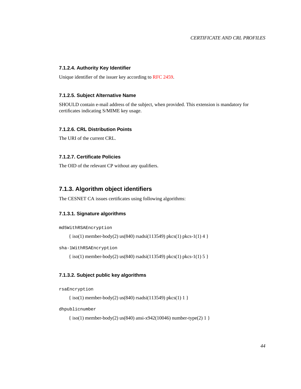#### <span id="page-43-1"></span>**7.1.2.4. Authority Key Identifier**

Unique identifier of the issuer key according to [RFC 2459.](#page-49-4)

#### **7.1.2.5. Subject Alternative Name**

SHOULD contain e-mail address of the subject, when provided. This extension is mandatory for certificates indicating S/MIME key usage.

#### **7.1.2.6. CRL Distribution Points**

The URI of the current CRL.

#### **7.1.2.7. Certificate Policies**

The OID of the relevant CP without any qualifiers.

#### <span id="page-43-0"></span>**7.1.3. Algorithm object identifiers**

The CESNET CA issues certificates using following algorithms:

#### **7.1.3.1. Signature algorithms**

md5WithRSAEncryption

 $\{ \text{iso}(1) \text{ member-body}(2) \text{ us}(840) \text{ rsadsi}(113549) \text{ pkcs}(1) \text{ pkcs-1}(1) \}$ 

sha-1WithRSAEncryption

{ iso(1) member-body(2) us(840) rsadsi(113549) pkcs(1) pkcs-1(1) 5 }

#### **7.1.3.2. Subject public key algorithms**

```
rsaEncryption
```

```
{ iso(1) member-body(2) us(840) rsadsi(113549) pkcs(1) 1 }
```
dhpublicnumber

```
{ iso(1) member-body(2) us(840) ansi-x942(10046) number-type(2) 1 }
```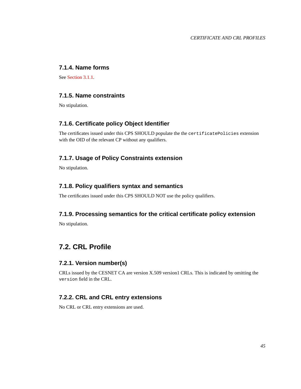# **7.1.4. Name forms**

See [Section 3.1.1.](#page-19-2)

## <span id="page-44-0"></span>**7.1.5. Name constraints**

No stipulation.

### <span id="page-44-1"></span>**7.1.6. Certificate policy Object Identifier**

The certificates issued under this CPS SHOULD populate the the certificatePolicies extension with the OID of the relevant CP without any qualifiers.

# <span id="page-44-2"></span>**7.1.7. Usage of Policy Constraints extension**

No stipulation.

### <span id="page-44-3"></span>**7.1.8. Policy qualifiers syntax and semantics**

The certificates issued under this CPS SHOULD NOT use the policy qualifiers.

### <span id="page-44-4"></span>**7.1.9. Processing semantics for the critical certificate policy extension**

No stipulation.

# <span id="page-44-5"></span>**7.2. CRL Profile**

#### <span id="page-44-6"></span>**7.2.1. Version number(s)**

CRLs issued by the CESNET CA are version X.509 version1 CRLs. This is indicated by omitting the version field in the CRL.

### <span id="page-44-7"></span>**7.2.2. CRL and CRL entry extensions**

No CRL or CRL entry extensions are used.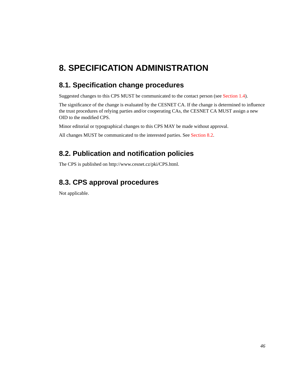# <span id="page-45-0"></span>**8. SPECIFICATION ADMINISTRATION**

# <span id="page-45-1"></span>**8.1. Specification change procedures**

Suggested changes to this CPS MUST be communicated to the contact person (see [Section 1.4\)](#page-9-0).

The significance of the change is evaluated by the CESNET CA. If the change is determined to influence the trust procedures of relying parties and/or cooperating CAs, the CESNET CA MUST assign a new OID to the modified CPS.

Minor editorial or typographical changes to this CPS MAY be made without approval.

All changes MUST be communicated to the interested parties. See [Section 8.2.](#page-45-2)

# <span id="page-45-2"></span>**8.2. Publication and notification policies**

The CPS is published on http://www.cesnet.cz/pki/CPS.html.

# <span id="page-45-3"></span>**8.3. CPS approval procedures**

Not applicable.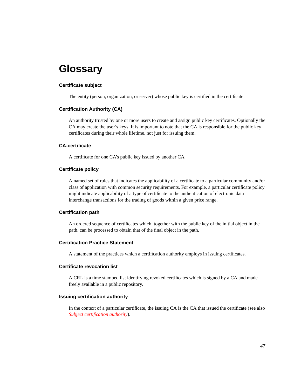# <span id="page-46-0"></span>**Glossary**

#### **Certificate subject**

The entity (person, organization, or server) whose public key is certified in the certificate.

#### **Certification Authority (CA)**

An authority trusted by one or more users to create and assign public key certificates. Optionally the CA may create the user's keys. It is important to note that the CA is responsible for the public key certificates during their whole lifetime, not just for issuing them.

#### **CA-certificate**

A certificate for one CA's public key issued by another CA.

#### **Certificate policy**

A named set of rules that indicates the applicability of a certificate to a particular community and/or class of application with common security requirements. For example, a particular certificate policy might indicate applicability of a type of certificate to the authentication of electronic data interchange transactions for the trading of goods within a given price range.

#### **Certification path**

An ordered sequence of certificates which, together with the public key of the initial object in the path, can be processed to obtain that of the final object in the path.

#### **Certification Practice Statement**

A statement of the practices which a certification authority employs in issuing certificates.

#### **Certificate revocation list**

A CRL is a time stamped list identifying revoked certificates which is signed by a CA and made freely available in a public repository.

#### **Issuing certification authority**

In the context of a particular certificate, the issuing CA is the CA that issued the certificate (see also *[Subject certification authority](#page-47-0)*).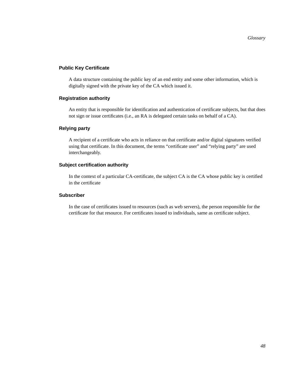#### **Public Key Certificate**

A data structure containing the public key of an end entity and some other information, which is digitally signed with the private key of the CA which issued it.

#### **Registration authority**

An entity that is responsible for identification and authentication of certificate subjects, but that does not sign or issue certificates (i.e., an RA is delegated certain tasks on behalf of a CA).

#### **Relying party**

A recipient of a certificate who acts in reliance on that certificate and/or digital signatures verified using that certificate. In this document, the terms "certificate user" and "relying party" are used interchangeably.

#### <span id="page-47-0"></span>**Subject certification authority**

In the context of a particular CA-certificate, the subject CA is the CA whose public key is certified in the certificate

#### **Subscriber**

In the case of certificates issued to resources (such as web servers), the person responsible for the certificate for that resource. For certificates issued to individuals, same as certificate subject.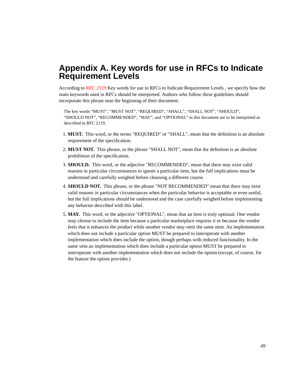# <span id="page-48-0"></span>**Appendix A. Key words for use in RFCs to Indicate Requirement Levels**

According to [RFC 2119](#page-49-2) Key words for use in RFCs to Indicate Requirement Levels , we specify how the main keywords used in RFCs should be interpreted. Authors who follow these guidelines should incorporate this phrase near the beginning of their document:

The key words "MUST", "MUST NOT", "REQUIRED", "SHALL", "SHALL NOT", "SHOULD", "SHOULD NOT", "RECOMMENDED", "MAY", and "OPTIONAL" in this document are to be interpreted as described in RFC 2119.

- 1. **MUST.** This word, or the terms "REQUIRED" or "SHALL", mean that the definition is an absolute requirement of the specification.
- 2. **MUST NOT.** This phrase, or the phrase "SHALL NOT", mean that the definition is an absolute prohibition of the specification.
- 3. **SHOULD.** This word, or the adjective "RECOMMENDED", mean that there may exist valid reasons in particular circumstances to ignore a particular item, but the full implications must be understood and carefully weighed before choosing a different course.
- 4. **SHOULD NOT.** This phrase, or the phrase "NOT RECOMMENDED" mean that there may exist valid reasons in particular circumstances when the particular behavior is acceptable or even useful, but the full implications should be understood and the case carefully weighed before implementing any behavior described with this label.
- 5. **MAY.** This word, or the adjective "OPTIONAL", mean that an item is truly optional. One vendor may choose to include the item because a particular marketplace requires it or because the vendor feels that it enhances the product while another vendor may omit the same item. An implementation which does not include a particular option MUST be prepared to interoperate with another implementation which does include the option, though perhaps with reduced functionality. In the same vein an implementation which does include a particular option MUST be prepared to interoperate with another implementation which does not include the option (except, of course, for the feature the option provides.)